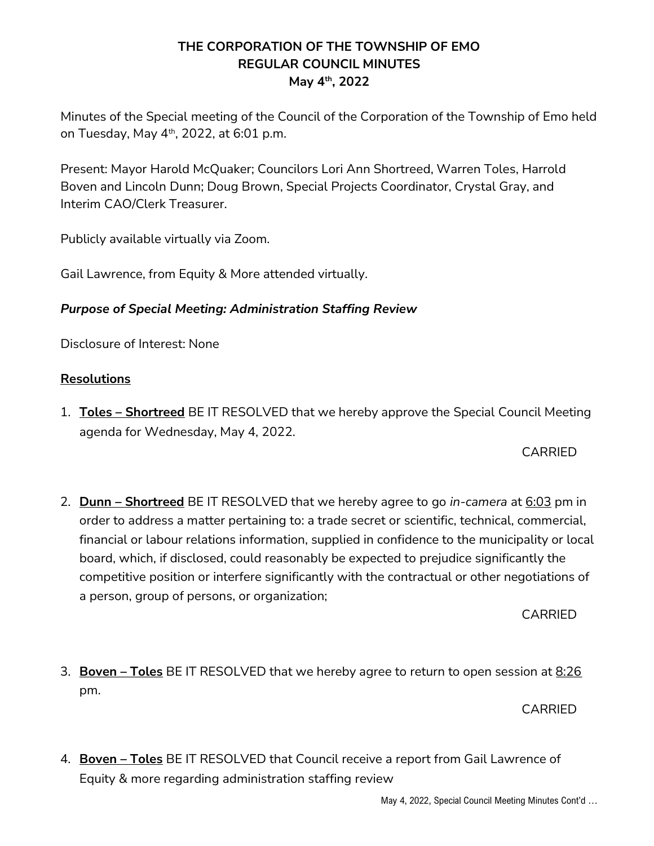## THE CORPORATION OF THE TOWNSHIP OF EMO REGULAR COUNCIL MINUTES May 4th, 2022

Minutes of the Special meeting of the Council of the Corporation of the Township of Emo held on Tuesday, May  $4<sup>th</sup>$ , 2022, at 6:01 p.m.

Present: Mayor Harold McQuaker; Councilors Lori Ann Shortreed, Warren Toles, Harrold Boven and Lincoln Dunn; Doug Brown, Special Projects Coordinator, Crystal Gray, and Interim CAO/Clerk Treasurer.

Publicly available virtually via Zoom.

Gail Lawrence, from Equity & More attended virtually.

## Purpose of Special Meeting: Administration Staffing Review

Disclosure of Interest: None

## Resolutions

1. **Toles – Shortreed** BE IT RESOLVED that we hereby approve the Special Council Meeting agenda for Wednesday, May 4, 2022.

## CARRIED

2. **Dunn – Shortreed** BE IT RESOLVED that we hereby agree to go *in-camera* at  $6:03$  pm in order to address a matter pertaining to: a trade secret or scientific, technical, commercial, financial or labour relations information, supplied in confidence to the municipality or local board, which, if disclosed, could reasonably be expected to prejudice significantly the competitive position or interfere significantly with the contractual or other negotiations of a person, group of persons, or organization;

CARRIED

3. Boven – Toles BE IT RESOLVED that we hereby agree to return to open session at 8:26 pm.

CARRIED

4. Boven – Toles BE IT RESOLVED that Council receive a report from Gail Lawrence of Equity & more regarding administration staffing review